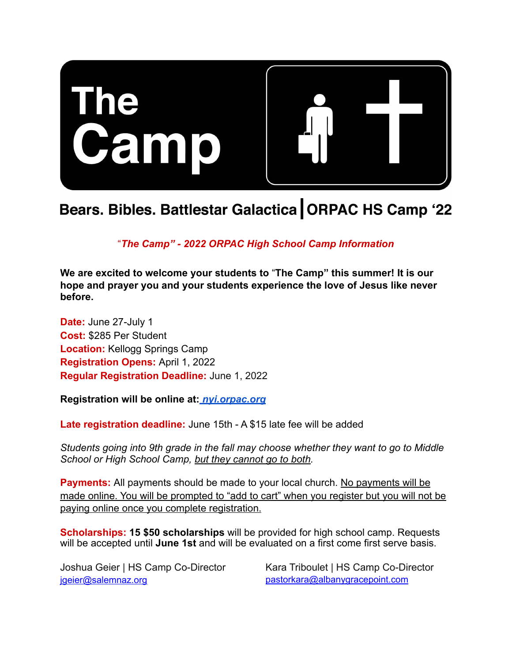

# Bears. Bibles. Battlestar Galactica | ORPAC HS Camp '22

!*The Camp" - 2022 ORPAC High School Camp Information*

**We are excited to welcome your students to** !**The Camp" this summer! It is our hope and prayer you and your students experience the love of Jesus like never before.**

**Date:** June 27-July 1 **Cost:** \$285 Per Student **Location:** Kellogg Springs Camp **Registration Opens:** April 1, 2022 **Regular Registration Deadline:** June 1, 2022

**Registration will be online at:** *[nyi.orpac.org](http://nyi.orpac.org/)*

**Late registration deadline:** June 15th - A \$15 late fee will be added

*Students going into 9th grade in the fall may choose whether they want to go to Middle School or High School Camp, but they cannot go to both.* 

**Payments:** All payments should be made to your local church. No payments will be made online. You will be prompted to "add to cart" when you register but you will not be paying online once you complete registration.

**Scholarships: 15 \$50 scholarships** will be provided for high school camp. Requests will be accepted until **June 1st** and will be evaluated on a first come first serve basis.

Joshua Geier | HS Camp Co-Director [jgeier@salemnaz.org](mailto:jgeier@salemnaz.org)

Kara Triboulet | HS Camp Co-Director [pastorkara@albanygracepoint.com](mailto:pastorkara@albanygracepoint.com)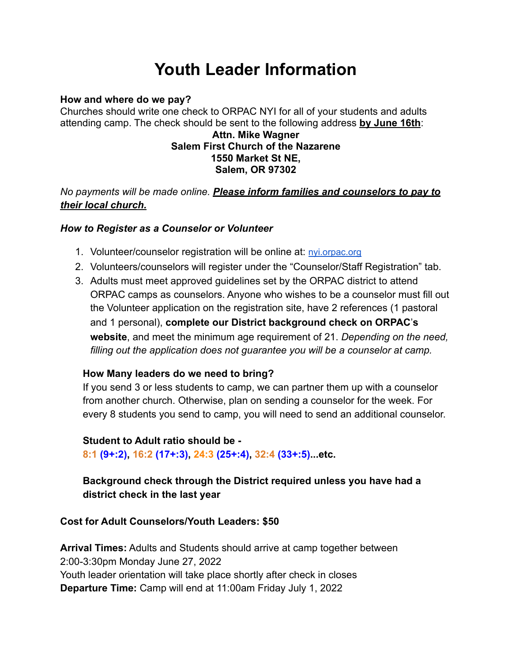# **Youth Leader Information**

#### **How and where do we pay?**

Churches should write one check to ORPAC NYI for all of your students and adults attending camp. The check should be sent to the following address **by June 16th**:

#### **Attn. Mike Wagner Salem First Church of the Nazarene 1550 Market St NE, Salem, OR 97302**

*No payments will be made online. Please inform families and counselors to pay to their local church.*

### *How to Register as a Counselor or Volunteer*

- 1. Volunteer/counselor registration will be online at: [nyi.orpac.org](http://nyi.orpac.org/)
- 2. Volunteers/counselors will register under the "Counselor/Staff Registration" tab.
- 3. Adults must meet approved guidelines set by the ORPAC district to attend ORPAC camps as counselors. Anyone who wishes to be a counselor must fill out the Volunteer application on the registration site, have 2 references (1 pastoral and 1 personal), **complete our District background check on ORPAC**"**s website**, and meet the minimum age requirement of 21. *Depending on the need, filling out the application does not guarantee you will be a counselor at camp.*

# **How Many leaders do we need to bring?**

If you send 3 or less students to camp, we can partner them up with a counselor from another church. Otherwise, plan on sending a counselor for the week. For every 8 students you send to camp, you will need to send an additional counselor.

#### **Student to Adult ratio should be -**

**8:1 (9+:2), 16:2 (17+:3), 24:3 (25+:4), 32:4 (33+:5)...etc.**

# **Background check through the District required unless you have had a district check in the last year**

# **Cost for Adult Counselors/Youth Leaders: \$50**

**Arrival Times:** Adults and Students should arrive at camp together between 2:00-3:30pm Monday June 27, 2022 Youth leader orientation will take place shortly after check in closes **Departure Time:** Camp will end at 11:00am Friday July 1, 2022